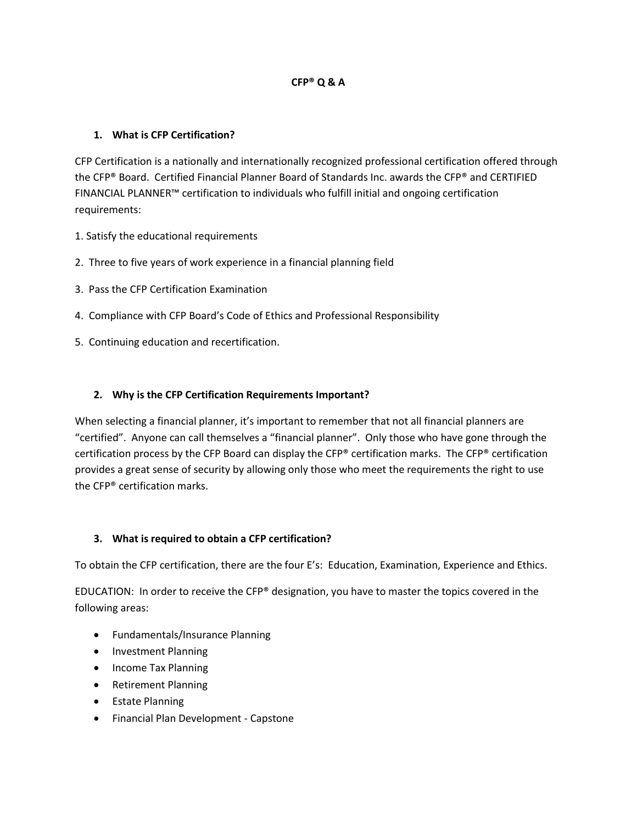### **CFP® Q & A**

## **1. What is CFP Certification?**

CFP Certification is a nationally and internationally recognized professional certification offered through the CFP® Board. Certified Financial Planner Board of Standards Inc. awards the CFP® and CERTIFIED FINANCIAL PLANNER™ certification to individuals who fulfill initial and ongoing certification requirements:

- 1. Satisfy the educational requirements
- 2. Three to five years of work experience in a financial planning field
- 3. Pass the CFP Certification Examination
- 4. Compliance with CFP Board's Code of Ethics and Professional Responsibility
- 5. Continuing education and recertification.

#### **2. Why is the CFP Certification Requirements Important?**

When selecting a financial planner, it's important to remember that not all financial planners are "certified". Anyone can call themselves a "financial planner". Only those who have gone through the certification process by the CFP Board can display the CFP® certification marks. The CFP® certification provides a great sense of security by allowing only those who meet the requirements the right to use the CFP® certification marks.

#### **3. What is required to obtain a CFP certification?**

To obtain the CFP certification, there are the four E's: Education, Examination, Experience and Ethics.

EDUCATION: In order to receive the CFP® designation, you have to master the topics covered in the following areas:

- Fundamentals/Insurance Planning
- Investment Planning
- Income Tax Planning
- Retirement Planning
- **•** Estate Planning
- Financial Plan Development Capstone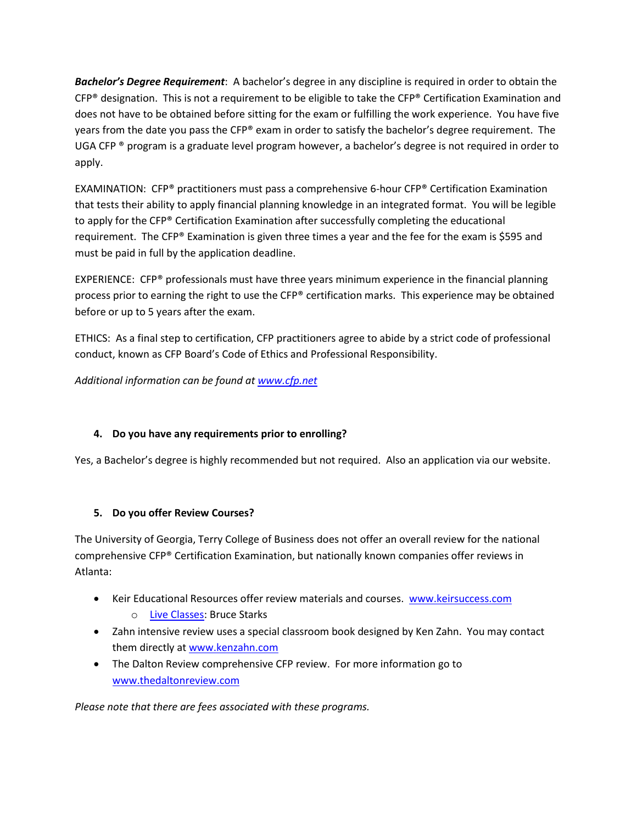*Bachelor's Degree Requirement*: A bachelor's degree in any discipline is required in order to obtain the  $CFP<sup>®</sup>$  designation. This is not a requirement to be eligible to take the CFP<sup>®</sup> Certification Examination and does not have to be obtained before sitting for the exam or fulfilling the work experience. You have five years from the date you pass the CFP® exam in order to satisfy the bachelor's degree requirement. The UGA CFP ® program is a graduate level program however, a bachelor's degree is not required in order to apply.

EXAMINATION: CFP® practitioners must pass a comprehensive 6-hour CFP® Certification Examination that tests their ability to apply financial planning knowledge in an integrated format. You will be legible to apply for the CFP® Certification Examination after successfully completing the educational requirement. The CFP® Examination is given three times a year and the fee for the exam is \$595 and must be paid in full by the application deadline.

EXPERIENCE: CFP® professionals must have three years minimum experience in the financial planning process prior to earning the right to use the CFP® certification marks. This experience may be obtained before or up to 5 years after the exam.

ETHICS: As a final step to certification, CFP practitioners agree to abide by a strict code of professional conduct, known as CFP Board's Code of Ethics and Professional Responsibility.

*Additional information can be found a[t www.cfp.net](http://www.cfp.net/)*

# **4. Do you have any requirements prior to enrolling?**

Yes, a Bachelor's degree is highly recommended but not required. Also an application via our website.

# **5. Do you offer Review Courses?**

The University of Georgia, Terry College of Business does not offer an overall review for the national comprehensive CFP® Certification Examination, but nationally known companies offer reviews in Atlanta:

- **EXECT** Keir Educational Resources offer review materials and courses. [www.keirsuccess.com](http://www.keirsuccess.com/)
	- o [Live Classes:](http://www.keirsuccess.com/CFP-Certification/Keir-Affiliate-Led-Live-Classes) Bruce Starks
- Zahn intensive review uses a special classroom book designed by Ken Zahn. You may contact them directly a[t www.kenzahn.com](http://www.kenzahn.com/)
- The Dalton Review comprehensive CFP review. For more information go to [www.thedaltonreview.com](http://www.thedaltonreview.com/)

*Please note that there are fees associated with these programs.*